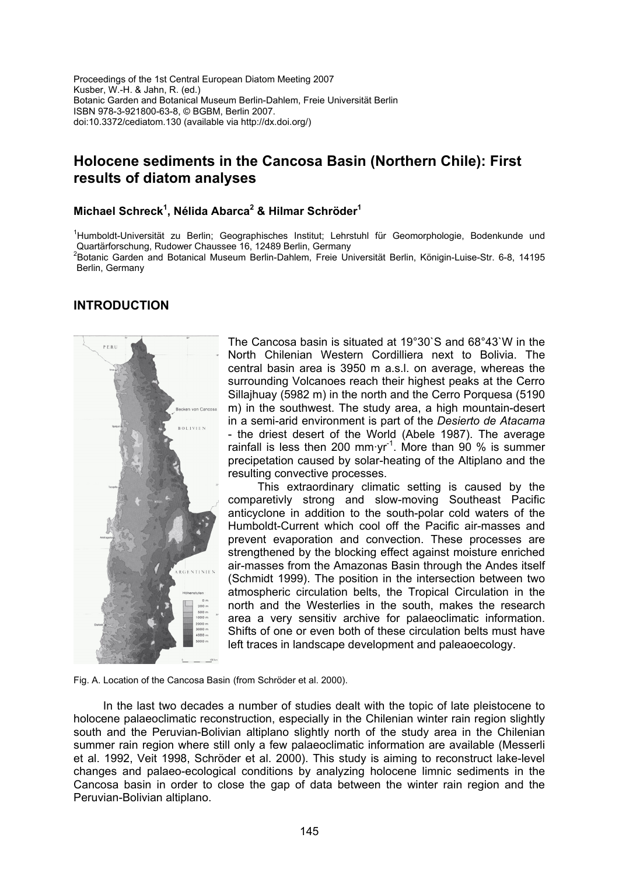Proceedings of the 1st Central European Diatom Meeting 2007 Kusber, W.-H. & Jahn, R. (ed.) Botanic Garden and Botanical Museum Berlin-Dahlem, Freie Universität Berlin ISBN 978-3-921800-63-8, © BGBM, Berlin 2007. doi:10.3372/cediatom.130 (available via http://dx.doi.org/)

# **Holocene sediments in the Cancosa Basin (Northern Chile): First results of diatom analyses**

#### **Michael Schreck<sup>1</sup> , Nélida Abarca2 & Hilmar Schröder1**

<sup>1</sup>Humboldt-Universität zu Berlin; Geographisches Institut; Lehrstuhl für Geomorphologie, Bodenkunde und Quartärforschung, Rudower Chaussee 16, 12489 Berlin, Germany

2 Botanic Garden and Botanical Museum Berlin-Dahlem, Freie Universität Berlin, Königin-Luise-Str. 6-8, 14195 Berlin, Germany

### **INTRODUCTION**



The Cancosa basin is situated at 19°30`S and 68°43`W in the North Chilenian Western Cordilliera next to Bolivia. The central basin area is 3950 m a.s.l. on average, whereas the surrounding Volcanoes reach their highest peaks at the Cerro Sillajhuay (5982 m) in the north and the Cerro Porquesa (5190 m) in the southwest. The study area, a high mountain-desert in a semi-arid environment is part of the *Desierto de Atacama* - the driest desert of the World (Abele 1987). The average rainfall is less then 200 mm·yr<sup>-1</sup>. More than 90  $%$  is summer precipetation caused by solar-heating of the Altiplano and the resulting convective processes.

This extraordinary climatic setting is caused by the comparetivly strong and slow-moving Southeast Pacific anticyclone in addition to the south-polar cold waters of the Humboldt-Current which cool off the Pacific air-masses and prevent evaporation and convection. These processes are strengthened by the blocking effect against moisture enriched air-masses from the Amazonas Basin through the Andes itself (Schmidt 1999). The position in the intersection between two atmospheric circulation belts, the Tropical Circulation in the north and the Westerlies in the south, makes the research area a very sensitiv archive for palaeoclimatic information. Shifts of one or even both of these circulation belts must have left traces in landscape development and paleaoecology.

Fig. A. Location of the Cancosa Basin (from Schröder et al. 2000).

In the last two decades a number of studies dealt with the topic of late pleistocene to holocene palaeoclimatic reconstruction, especially in the Chilenian winter rain region slightly south and the Peruvian-Bolivian altiplano slightly north of the study area in the Chilenian summer rain region where still only a few palaeoclimatic information are available (Messerli et al. 1992, Veit 1998, Schröder et al. 2000). This study is aiming to reconstruct lake-level changes and palaeo-ecological conditions by analyzing holocene limnic sediments in the Cancosa basin in order to close the gap of data between the winter rain region and the Peruvian-Bolivian altiplano.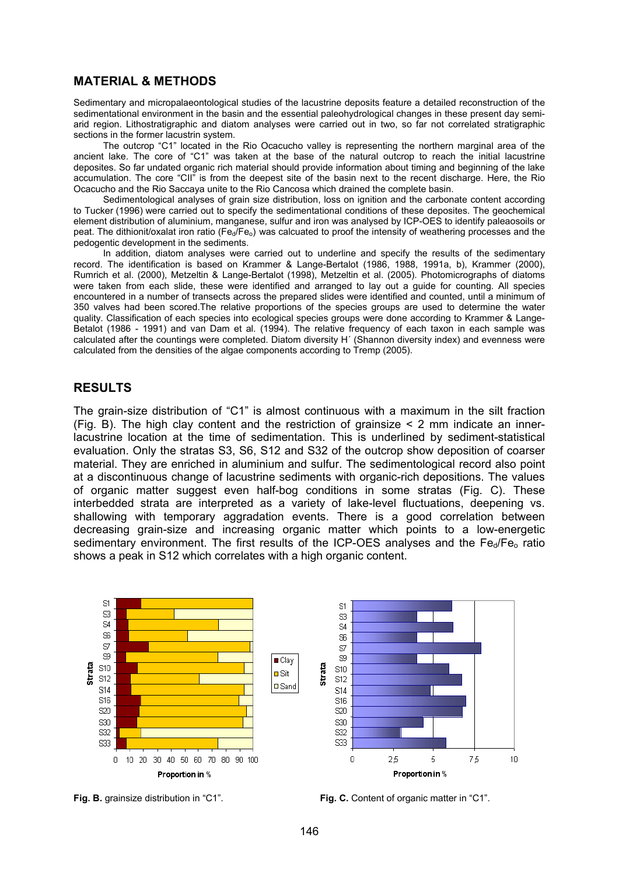### **MATERIAL & METHODS**

Sedimentary and micropalaeontological studies of the lacustrine deposits feature a detailed reconstruction of the sedimentational environment in the basin and the essential paleohydrological changes in these present day semiarid region. Lithostratigraphic and diatom analyses were carried out in two, so far not correlated stratigraphic sections in the former lacustrin system.

The outcrop "C1" located in the Rio Ocacucho valley is representing the northern marginal area of the ancient lake. The core of "C1" was taken at the base of the natural outcrop to reach the initial lacustrine deposites. So far undated organic rich material should provide information about timing and beginning of the lake accumulation. The core "CII" is from the deepest site of the basin next to the recent discharge. Here, the Rio Ocacucho and the Rio Saccaya unite to the Rio Cancosa which drained the complete basin.

Sedimentological analyses of grain size distribution, loss on ignition and the carbonate content according to Tucker (1996) were carried out to specify the sedimentational conditions of these deposites. The geochemical element distribution of aluminium, manganese, sulfur and iron was analysed by ICP-OES to identify paleaosoils or peat. The dithionit/oxalat iron ratio ( $Fe<sub>0</sub>/Fe<sub>0</sub>$ ) was calcuated to proof the intensity of weathering processes and the pedogentic development in the sediments.

In addition, diatom analyses were carried out to underline and specify the results of the sedimentary record. The identification is based on Krammer & Lange-Bertalot (1986, 1988, 1991a, b), Krammer (2000), Rumrich et al. (2000), Metzeltin & Lange-Bertalot (1998), Metzeltin et al. (2005). Photomicrographs of diatoms were taken from each slide, these were identified and arranged to lay out a guide for counting. All species encountered in a number of transects across the prepared slides were identified and counted, until a minimum of 350 valves had been scored.The relative proportions of the species groups are used to determine the water quality. Classification of each species into ecological species groups were done according to Krammer & Lange-Betalot (1986 - 1991) and van Dam et al. (1994). The relative frequency of each taxon in each sample was calculated after the countings were completed. Diatom diversity H´ (Shannon diversity index) and evenness were calculated from the densities of the algae components according to Tremp (2005).

#### **RESULTS**

The grain-size distribution of "C1" is almost continuous with a maximum in the silt fraction (Fig. B). The high clay content and the restriction of grainsize < 2 mm indicate an innerlacustrine location at the time of sedimentation. This is underlined by sediment-statistical evaluation. Only the stratas S3, S6, S12 and S32 of the outcrop show deposition of coarser material. They are enriched in aluminium and sulfur. The sedimentological record also point at a discontinuous change of lacustrine sediments with organic-rich depositions. The values of organic matter suggest even half-bog conditions in some stratas (Fig. C). These interbedded strata are interpreted as a variety of lake-level fluctuations, deepening vs. shallowing with temporary aggradation events. There is a good correlation between decreasing grain-size and increasing organic matter which points to a low-energetic sedimentary environment. The first results of the ICP-OES analyses and the  $Fe<sub>d</sub>/Fe<sub>o</sub>$  ratio shows a peak in S12 which correlates with a high organic content.



**Fig. B.** grainsize distribution in "C1". **Fig. C.** Content of organic matter in "C1".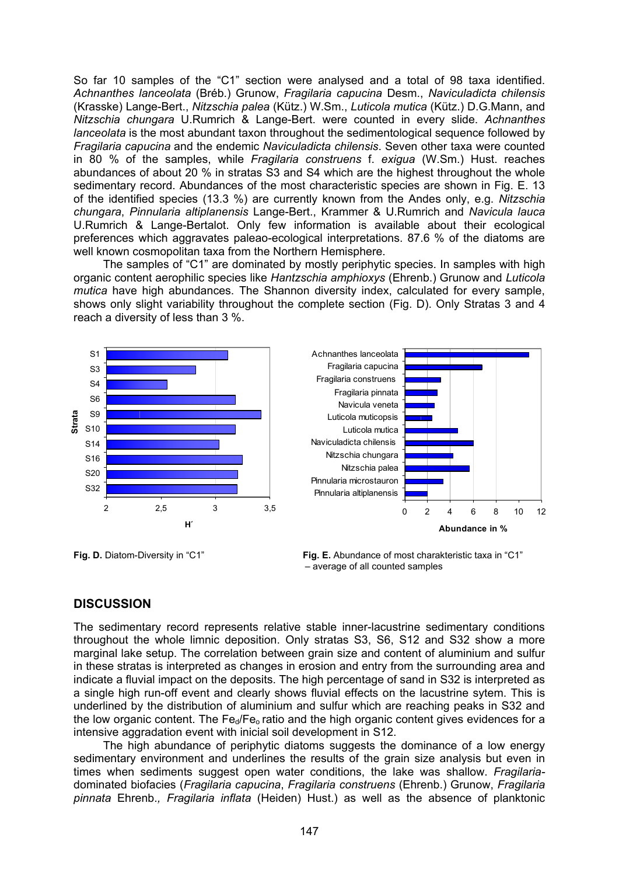So far 10 samples of the "C1" section were analysed and a total of 98 taxa identified. *Achnanthes lanceolata* (Bréb.) Grunow, *Fragilaria capucina* Desm., *Naviculadicta chilensis* (Krasske) Lange-Bert., *Nitzschia palea* (Kütz.) W.Sm., *Luticola mutica* (Kütz.) D.G.Mann, and *Nitzschia chungara* U.Rumrich & Lange-Bert. were counted in every slide. *Achnanthes lanceolata* is the most abundant taxon throughout the sedimentological sequence followed by *Fragilaria capucina* and the endemic *Naviculadicta chilensis*. Seven other taxa were counted in 80 % of the samples, while *Fragilaria construens* f. *exigua* (W.Sm.) Hust. reaches abundances of about 20 % in stratas S3 and S4 which are the highest throughout the whole sedimentary record. Abundances of the most characteristic species are shown in Fig. E. 13 of the identified species (13.3 %) are currently known from the Andes only, e.g. *Nitzschia chungara*, *Pinnularia altiplanensis* Lange-Bert., Krammer & U.Rumrich and *Navicula lauca* U.Rumrich & Lange-Bertalot. Only few information is available about their ecological preferences which aggravates paleao-ecological interpretations. 87.6 % of the diatoms are well known cosmopolitan taxa from the Northern Hemisphere.

The samples of "C1" are dominated by mostly periphytic species. In samples with high organic content aerophilic species like *Hantzschia amphioxys* (Ehrenb.) Grunow and *Luticola mutica* have high abundances. The Shannon diversity index, calculated for every sample, shows only slight variability throughout the complete section (Fig. D). Only Stratas 3 and 4 reach a diversity of less than 3 %.





**Fig. D.** Diatom-Diversity in "C1" **Fig. E.** Abundance of most charakteristic taxa in "C1" – average of all counted samples

## **DISCUSSION**

The sedimentary record represents relative stable inner-lacustrine sedimentary conditions throughout the whole limnic deposition. Only stratas S3, S6, S12 and S32 show a more marginal lake setup. The correlation between grain size and content of aluminium and sulfur in these stratas is interpreted as changes in erosion and entry from the surrounding area and indicate a fluvial impact on the deposits. The high percentage of sand in S32 is interpreted as a single high run-off event and clearly shows fluvial effects on the lacustrine sytem. This is underlined by the distribution of aluminium and sulfur which are reaching peaks in S32 and the low organic content. The  $Fe<sub>d</sub>/Fe<sub>o</sub>$  ratio and the high organic content gives evidences for a intensive aggradation event with inicial soil development in S12.

The high abundance of periphytic diatoms suggests the dominance of a low energy sedimentary environment and underlines the results of the grain size analysis but even in times when sediments suggest open water conditions, the lake was shallow. *Fragilaria*dominated biofacies (*Fragilaria capucina*, *Fragilaria construens* (Ehrenb.) Grunow, *Fragilaria pinnata* Ehrenb.*, Fragilaria inflata* (Heiden) Hust.) as well as the absence of planktonic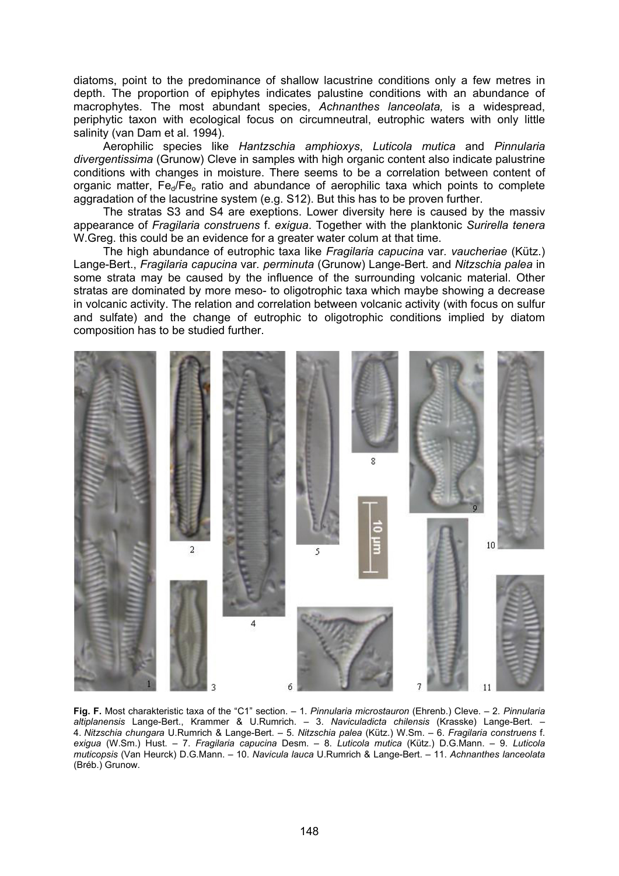diatoms, point to the predominance of shallow lacustrine conditions only a few metres in depth. The proportion of epiphytes indicates palustine conditions with an abundance of macrophytes. The most abundant species, *Achnanthes lanceolata,* is a widespread, periphytic taxon with ecological focus on circumneutral, eutrophic waters with only little salinity (van Dam et al. 1994).

Aerophilic species like *Hantzschia amphioxys*, *Luticola mutica* and *Pinnularia divergentissima* (Grunow) Cleve in samples with high organic content also indicate palustrine conditions with changes in moisture. There seems to be a correlation between content of organic matter,  $Fe<sub>d</sub>/Fe<sub>o</sub>$  ratio and abundance of aerophilic taxa which points to complete aggradation of the lacustrine system (e.g. S12). But this has to be proven further.

The stratas S3 and S4 are exeptions. Lower diversity here is caused by the massiv appearance of *Fragilaria construens* f. *exigua*. Together with the planktonic *Surirella tenera* W.Greg. this could be an evidence for a greater water colum at that time.

The high abundance of eutrophic taxa like *Fragilaria capucina* var*. vaucheriae* (Kütz.) Lange-Bert., *Fragilaria capucina* var*. perminuta* (Grunow) Lange-Bert. and *Nitzschia palea* in some strata may be caused by the influence of the surrounding volcanic material. Other stratas are dominated by more meso- to oligotrophic taxa which maybe showing a decrease in volcanic activity. The relation and correlation between volcanic activity (with focus on sulfur and sulfate) and the change of eutrophic to oligotrophic conditions implied by diatom composition has to be studied further.



**Fig. F.** Most charakteristic taxa of the "C1" section. – 1. *Pinnularia microstauron* (Ehrenb.) Cleve. – 2. *Pinnularia altiplanensis* Lange-Bert., Krammer & U.Rumrich. – 3. *Naviculadicta chilensis* (Krasske) Lange-Bert. – 4. *Nitzschia chungara* U.Rumrich & Lange-Bert. – 5. *Nitzschia palea* (Kütz.) W.Sm. – 6. *Fragilaria construens* f. *exigua* (W.Sm.) Hust. – 7. *Fragilaria capucina* Desm. – 8. *Luticola mutica* (Kütz.) D.G.Mann. – 9. *Luticola muticopsis* (Van Heurck) D.G.Mann. – 10. *Navicula lauca* U.Rumrich & Lange-Bert. – 11. *Achnanthes lanceolata* (Bréb.) Grunow.